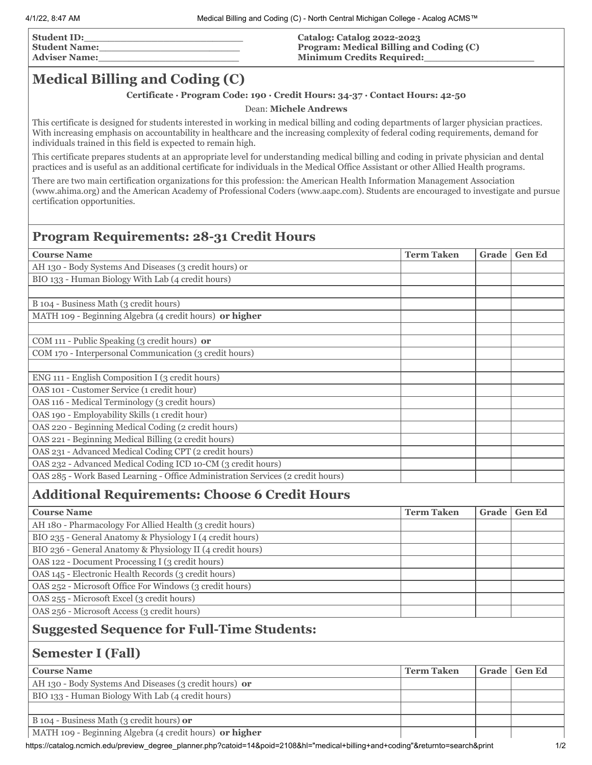| <b>Student ID:</b>   |  |
|----------------------|--|
| <b>Student Name:</b> |  |
| <b>Adviser Name:</b> |  |

#### **Catalog: Catalog 2022-2023 Program: Medical Billing and Coding (C) Minimum Credits Required:\_\_\_\_\_\_\_\_\_\_\_\_\_\_\_\_\_\_**

# **Medical Billing and Coding (C)**

### **Certificate · Program Code: 190 ∙ Credit Hours: 34-37 · Contact Hours: 42-50**

#### Dean: **Michele Andrews**

This certificate is designed for students interested in working in medical billing and coding departments of larger physician practices. With increasing emphasis on accountability in healthcare and the increasing complexity of federal coding requirements, demand for individuals trained in this field is expected to remain high.

This certificate prepares students at an appropriate level for understanding medical billing and coding in private physician and dental practices and is useful as an additional certificate for individuals in the Medical Office Assistant or other Allied Health programs.

There are two main certification organizations for this profession: the American Health Information Management Association (www.ahima.org) and the American Academy of Professional Coders (www.aapc.com). Students are encouraged to investigate and pursue certification opportunities.

## **Program Requirements: 28-31 Credit Hours**

| <b>Course Name</b>                                                                                   | <b>Term Taken</b> | Grade | <b>Gen Ed</b> |
|------------------------------------------------------------------------------------------------------|-------------------|-------|---------------|
| AH 130 - Body Systems And Diseases (3 credit hours) or                                               |                   |       |               |
| BIO 133 - Human Biology With Lab (4 credit hours)                                                    |                   |       |               |
|                                                                                                      |                   |       |               |
| B 104 - Business Math (3 credit hours)                                                               |                   |       |               |
| MATH 109 - Beginning Algebra (4 credit hours) or higher                                              |                   |       |               |
|                                                                                                      |                   |       |               |
| COM 111 - Public Speaking (3 credit hours) or                                                        |                   |       |               |
| COM 170 - Interpersonal Communication (3 credit hours)                                               |                   |       |               |
|                                                                                                      |                   |       |               |
| ENG 111 - English Composition I (3 credit hours)                                                     |                   |       |               |
| OAS 101 - Customer Service (1 credit hour)                                                           |                   |       |               |
| OAS 116 - Medical Terminology (3 credit hours)                                                       |                   |       |               |
| OAS 190 - Employability Skills (1 credit hour)                                                       |                   |       |               |
| OAS 220 - Beginning Medical Coding (2 credit hours)                                                  |                   |       |               |
| OAS 221 - Beginning Medical Billing (2 credit hours)                                                 |                   |       |               |
| OAS 231 - Advanced Medical Coding CPT (2 credit hours)                                               |                   |       |               |
| OAS 232 - Advanced Medical Coding ICD 10-CM (3 credit hours)                                         |                   |       |               |
| OAS 285 - Work Based Learning - Office Administration Services (2 credit hours)                      |                   |       |               |
|                                                                                                      |                   |       |               |
| <b>Additional Requirements: Choose 6 Credit Hours</b>                                                |                   |       |               |
| <b>Course Name</b>                                                                                   | <b>Term Taken</b> | Grade | <b>Gen Ed</b> |
| AH 180 - Pharmacology For Allied Health (3 credit hours)                                             |                   |       |               |
| BIO 235 - General Anatomy & Physiology I (4 credit hours)                                            |                   |       |               |
| BIO 236 - General Anatomy & Physiology II (4 credit hours)                                           |                   |       |               |
| OAS 122 - Document Processing I (3 credit hours)                                                     |                   |       |               |
| OAS 145 - Electronic Health Records (3 credit hours)                                                 |                   |       |               |
| OAS 252 - Microsoft Office For Windows (3 credit hours)                                              |                   |       |               |
| OAS 255 - Microsoft Excel (3 credit hours)                                                           |                   |       |               |
| OAS 256 - Microsoft Access (3 credit hours)                                                          |                   |       |               |
| <b>Suggested Sequence for Full-Time Students:</b>                                                    |                   |       |               |
| <b>Semester I (Fall)</b>                                                                             |                   |       |               |
| <b>Course Name</b>                                                                                   | <b>Term Taken</b> | Grade | <b>Gen Ed</b> |
| AH 130 - Body Systems And Diseases (3 credit hours) or                                               |                   |       |               |
| BIO 133 - Human Biology With Lab (4 credit hours)                                                    |                   |       |               |
|                                                                                                      |                   |       |               |
| B 104 - Business Math (3 credit hours) or<br>MATH 109 - Beginning Algebra (4 credit hours) or higher |                   |       |               |

https://catalog.ncmich.edu/preview\_degree\_planner.php?catoid=14&poid=2108&hl="medical+billing+and+coding"&returnto=search&print 1/2